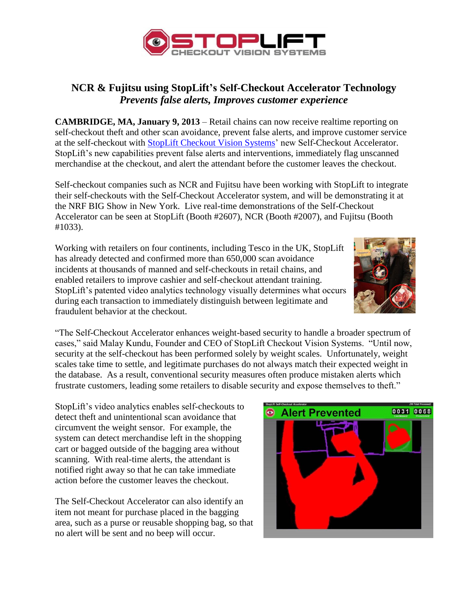

## **NCR & Fujitsu using StopLift's Self-Checkout Accelerator Technology** *Prevents false alerts, Improves customer experience*

**CAMBRIDGE, MA, January 9, 2013** – Retail chains can now receive realtime reporting on self-checkout theft and other scan avoidance, prevent false alerts, and improve customer service at the self-checkout with [StopLift Checkout Vision Systems'](http://www.stoplift.com/) new Self-Checkout Accelerator. StopLift's new capabilities prevent false alerts and interventions, immediately flag unscanned merchandise at the checkout, and alert the attendant before the customer leaves the checkout.

Self-checkout companies such as NCR and Fujitsu have been working with StopLift to integrate their self-checkouts with the Self-Checkout Accelerator system, and will be demonstrating it at the NRF BIG Show in New York. Live real-time demonstrations of the Self-Checkout Accelerator can be seen at StopLift (Booth #2607), NCR (Booth #2007), and Fujitsu (Booth #1033).

Working with retailers on four continents, including Tesco in the UK, StopLift has already detected and confirmed more than 650,000 scan avoidance incidents at thousands of manned and self-checkouts in retail chains, and enabled retailers to improve cashier and self-checkout attendant training. StopLift's patented video analytics technology visually determines what occurs during each transaction to immediately distinguish between legitimate and fraudulent behavior at the checkout.



"The Self-Checkout Accelerator enhances weight-based security to handle a broader spectrum of cases," said Malay Kundu, Founder and CEO of StopLift Checkout Vision Systems. "Until now, security at the self-checkout has been performed solely by weight scales. Unfortunately, weight scales take time to settle, and legitimate purchases do not always match their expected weight in the database. As a result, conventional security measures often produce mistaken alerts which frustrate customers, leading some retailers to disable security and expose themselves to theft."

StopLift's video analytics enables self-checkouts to detect theft and unintentional scan avoidance that circumvent the weight sensor. For example, the system can detect merchandise left in the shopping cart or bagged outside of the bagging area without scanning. With real-time alerts, the attendant is notified right away so that he can take immediate action before the customer leaves the checkout.

The Self-Checkout Accelerator can also identify an item not meant for purchase placed in the bagging area, such as a purse or reusable shopping bag, so that no alert will be sent and no beep will occur.